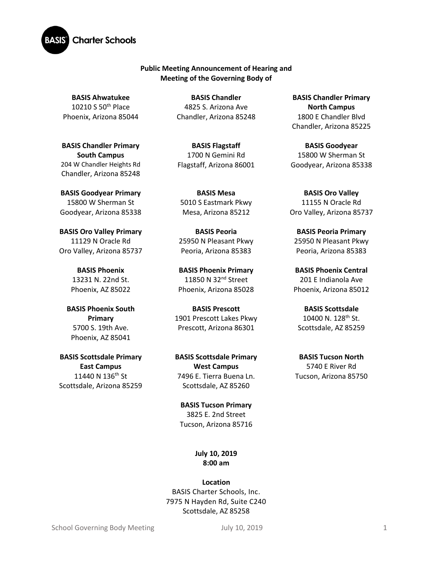

## **Public Meeting Announcement of Hearing and Meeting of the Governing Body of**

**BASIS Ahwatukee** 10210 S 50th Place Phoenix, Arizona 85044

**BASIS Chandler Primary South Campus**  204 W Chandler Heights Rd Chandler, Arizona 85248

**BASIS Goodyear Primary** 15800 W Sherman St Goodyear, Arizona 85338

**BASIS Oro Valley Primary**  11129 N Oracle Rd Oro Valley, Arizona 85737

> **BASIS Phoenix** 13231 N. 22nd St. Phoenix, AZ 85022

**BASIS Phoenix South Primary** 5700 S. 19th Ave. Phoenix, AZ 85041

**BASIS Scottsdale Primary East Campus** 11440 N 136<sup>th</sup> St Scottsdale, Arizona 85259

**BASIS Chandler** 4825 S. Arizona Ave Chandler, Arizona 85248

**BASIS Flagstaff** 1700 N Gemini Rd Flagstaff, Arizona 86001

**BASIS Mesa**  5010 S Eastmark Pkwy Mesa, Arizona 85212

**BASIS Peoria** 25950 N Pleasant Pkwy Peoria, Arizona 85383

**BASIS Phoenix Primary** 11850 N 32<sup>nd</sup> Street Phoenix, Arizona 85028

**BASIS Prescott** 1901 Prescott Lakes Pkwy Prescott, Arizona 86301

**BASIS Scottsdale Primary West Campus** 7496 E. Tierra Buena Ln. Scottsdale, AZ 85260

**BASIS Tucson Primary** 3825 E. 2nd Street Tucson, Arizona 85716

> **July 10, 2019 8:00 am**

**Location** BASIS Charter Schools, Inc. 7975 N Hayden Rd, Suite C240 Scottsdale, AZ 85258

**BASIS Chandler Primary North Campus** 1800 E Chandler Blvd Chandler, Arizona 85225

**BASIS Goodyear** 15800 W Sherman St Goodyear, Arizona 85338

**BASIS Oro Valley** 11155 N Oracle Rd Oro Valley, Arizona 85737

**BASIS Peoria Primary**  25950 N Pleasant Pkwy Peoria, Arizona 85383

**BASIS Phoenix Central** 201 E Indianola Ave Phoenix, Arizona 85012

**BASIS Scottsdale** 10400 N. 128th St. Scottsdale, AZ 85259

**BASIS Tucson North** 5740 E River Rd Tucson, Arizona 85750

School Governing Body Meeting  $10, 2019$  July 10, 2019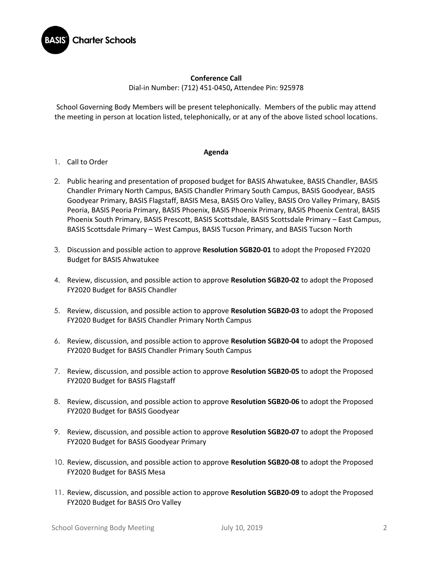

## **Conference Call**

Dial-in Number: (712) 451-0450**,** Attendee Pin: 925978

School Governing Body Members will be present telephonically. Members of the public may attend the meeting in person at location listed, telephonically, or at any of the above listed school locations.

## **Agenda**

- 1. Call to Order
- 2. Public hearing and presentation of proposed budget for BASIS Ahwatukee, BASIS Chandler, BASIS Chandler Primary North Campus, BASIS Chandler Primary South Campus, BASIS Goodyear, BASIS Goodyear Primary, BASIS Flagstaff, BASIS Mesa, BASIS Oro Valley, BASIS Oro Valley Primary, BASIS Peoria, BASIS Peoria Primary, BASIS Phoenix, BASIS Phoenix Primary, BASIS Phoenix Central, BASIS Phoenix South Primary, BASIS Prescott, BASIS Scottsdale, BASIS Scottsdale Primary – East Campus, BASIS Scottsdale Primary – West Campus, BASIS Tucson Primary, and BASIS Tucson North
- 3. Discussion and possible action to approve **Resolution SGB20-01** to adopt the Proposed FY2020 Budget for BASIS Ahwatukee
- 4. Review, discussion, and possible action to approve **Resolution SGB20-02** to adopt the Proposed FY2020 Budget for BASIS Chandler
- 5. Review, discussion, and possible action to approve **Resolution SGB20-03** to adopt the Proposed FY2020 Budget for BASIS Chandler Primary North Campus
- 6. Review, discussion, and possible action to approve **Resolution SGB20-04** to adopt the Proposed FY2020 Budget for BASIS Chandler Primary South Campus
- 7. Review, discussion, and possible action to approve **Resolution SGB20-05** to adopt the Proposed FY2020 Budget for BASIS Flagstaff
- 8. Review, discussion, and possible action to approve **Resolution SGB20-06** to adopt the Proposed FY2020 Budget for BASIS Goodyear
- 9. Review, discussion, and possible action to approve **Resolution SGB20-07** to adopt the Proposed FY2020 Budget for BASIS Goodyear Primary
- 10. Review, discussion, and possible action to approve **Resolution SGB20-08** to adopt the Proposed FY2020 Budget for BASIS Mesa
- 11. Review, discussion, and possible action to approve **Resolution SGB20-09** to adopt the Proposed FY2020 Budget for BASIS Oro Valley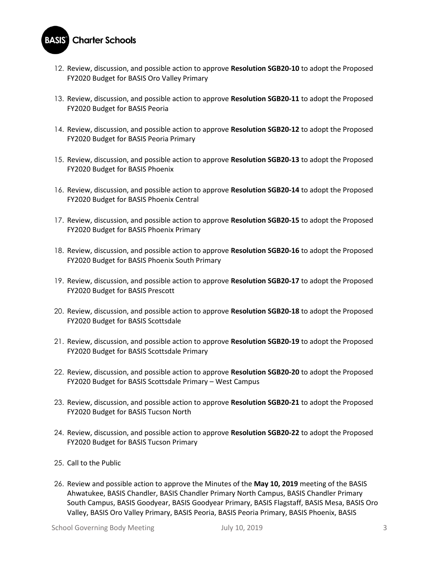## **Charter Schools** BASIS

- 12. Review, discussion, and possible action to approve **Resolution SGB20-10** to adopt the Proposed FY2020 Budget for BASIS Oro Valley Primary
- 13. Review, discussion, and possible action to approve **Resolution SGB20-11** to adopt the Proposed FY2020 Budget for BASIS Peoria
- 14. Review, discussion, and possible action to approve **Resolution SGB20-12** to adopt the Proposed FY2020 Budget for BASIS Peoria Primary
- 15. Review, discussion, and possible action to approve **Resolution SGB20-13** to adopt the Proposed FY2020 Budget for BASIS Phoenix
- 16. Review, discussion, and possible action to approve **Resolution SGB20-14** to adopt the Proposed FY2020 Budget for BASIS Phoenix Central
- 17. Review, discussion, and possible action to approve **Resolution SGB20-15** to adopt the Proposed FY2020 Budget for BASIS Phoenix Primary
- 18. Review, discussion, and possible action to approve **Resolution SGB20-16** to adopt the Proposed FY2020 Budget for BASIS Phoenix South Primary
- 19. Review, discussion, and possible action to approve **Resolution SGB20-17** to adopt the Proposed FY2020 Budget for BASIS Prescott
- 20. Review, discussion, and possible action to approve **Resolution SGB20-18** to adopt the Proposed FY2020 Budget for BASIS Scottsdale
- 21. Review, discussion, and possible action to approve **Resolution SGB20-19** to adopt the Proposed FY2020 Budget for BASIS Scottsdale Primary
- 22. Review, discussion, and possible action to approve **Resolution SGB20-20** to adopt the Proposed FY2020 Budget for BASIS Scottsdale Primary – West Campus
- 23. Review, discussion, and possible action to approve **Resolution SGB20-21** to adopt the Proposed FY2020 Budget for BASIS Tucson North
- 24. Review, discussion, and possible action to approve **Resolution SGB20-22** to adopt the Proposed FY2020 Budget for BASIS Tucson Primary
- 25. Call to the Public
- 26. Review and possible action to approve the Minutes of the **May 10, 2019** meeting of the BASIS Ahwatukee, BASIS Chandler, BASIS Chandler Primary North Campus, BASIS Chandler Primary South Campus, BASIS Goodyear, BASIS Goodyear Primary, BASIS Flagstaff, BASIS Mesa, BASIS Oro Valley, BASIS Oro Valley Primary, BASIS Peoria, BASIS Peoria Primary, BASIS Phoenix, BASIS